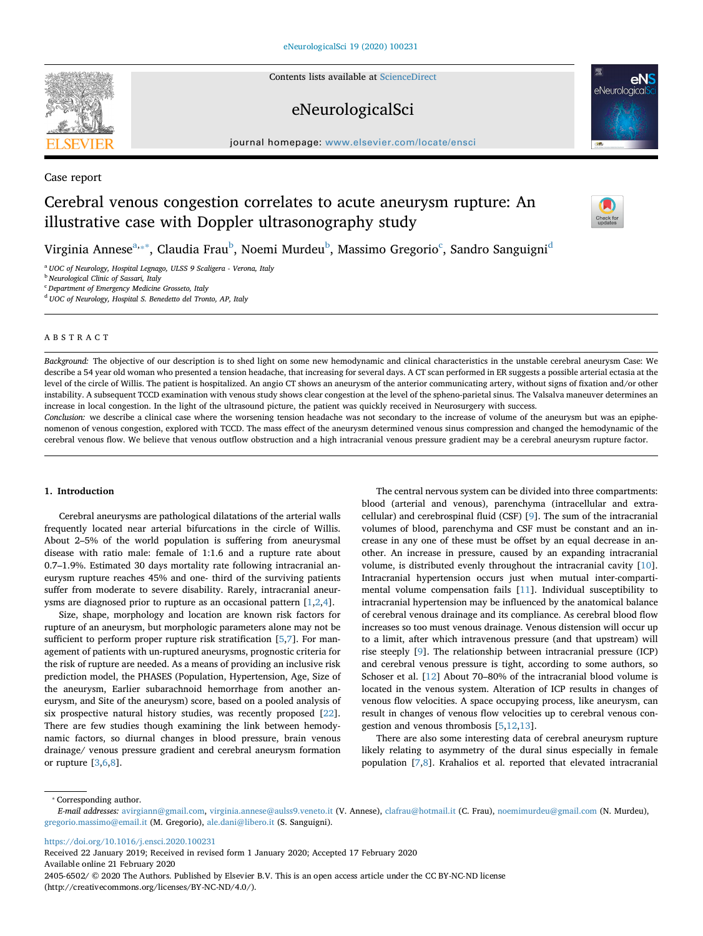Contents lists available at [ScienceDirect](http://www.sciencedirect.com/science/journal/24056502)

# eNeurologicalSci

journal homepage: [www.elsevier.com/locate/ensci](https://www.elsevier.com/locate/ensci)

Case report

# Cerebral venous congestion correlates to acute aneurysm rupture: An illustrative case with Doppler ultrasonography study



Virginia Annese $^{\mathrm{a},**}$ , Claudia Frau $^{\mathrm{b}}$  $^{\mathrm{b}}$  $^{\mathrm{b}}$ , Noemi Murdeu $^{\mathrm{b}}$ , Massimo Gregorio $^{\mathrm{c}}$  $^{\mathrm{c}}$  $^{\mathrm{c}}$ , Sandro Sanguigni $^{\mathrm{d}}$ 

<span id="page-0-0"></span><sup>a</sup> *UOC of Neurology, Hospital Legnago, ULSS 9 Scaligera - Verona, Italy*

<span id="page-0-2"></span><sup>b</sup> *Neurological Clinic of Sassari, Italy*

<span id="page-0-3"></span><sup>c</sup> *Department of Emergency Medicine Grosseto, Italy*

<span id="page-0-4"></span><sup>d</sup> *UOC of Neurology, Hospital S. Benedetto del Tronto, AP, Italy*

# ABSTRACT

*Background:* The objective of our description is to shed light on some new hemodynamic and clinical characteristics in the unstable cerebral aneurysm Case: We describe a 54 year old woman who presented a tension headache, that increasing for several days. A CT scan performed in ER suggests a possible arterial ectasia at the level of the circle of Willis. The patient is hospitalized. An angio CT shows an aneurysm of the anterior communicating artery, without signs of fixation and/or other instability. A subsequent TCCD examination with venous study shows clear congestion at the level of the spheno-parietal sinus. The Valsalva maneuver determines an increase in local congestion. In the light of the ultrasound picture, the patient was quickly received in Neurosurgery with success.

*Conclusion:* we describe a clinical case where the worsening tension headache was not secondary to the increase of volume of the aneurysm but was an epiphenomenon of venous congestion, explored with TCCD. The mass effect of the aneurysm determined venous sinus compression and changed the hemodynamic of the cerebral venous flow. We believe that venous outflow obstruction and a high intracranial venous pressure gradient may be a cerebral aneurysm rupture factor.

#### **1. Introduction**

Cerebral aneurysms are pathological dilatations of the arterial walls frequently located near arterial bifurcations in the circle of Willis. About 2–5% of the world population is suffering from aneurysmal disease with ratio male: female of 1:1.6 and a rupture rate about 0.7–1.9%. Estimated 30 days mortality rate following intracranial aneurysm rupture reaches 45% and one- third of the surviving patients suffer from moderate to severe disability. Rarely, intracranial aneurysms are diagnosed prior to rupture as an occasional pattern [\[1,](#page-2-0)[2,](#page-2-1)[4](#page-2-2)].

Size, shape, morphology and location are known risk factors for rupture of an aneurysm, but morphologic parameters alone may not be sufficient to perform proper rupture risk stratification [[5](#page-2-3)[,7\]](#page-2-4). For management of patients with un-ruptured aneurysms, prognostic criteria for the risk of rupture are needed. As a means of providing an inclusive risk prediction model, the PHASES (Population, Hypertension, Age, Size of the aneurysm, Earlier subarachnoid hemorrhage from another aneurysm, and Site of the aneurysm) score, based on a pooled analysis of six prospective natural history studies, was recently proposed [\[22](#page-3-0)]. There are few studies though examining the link between hemodynamic factors, so diurnal changes in blood pressure, brain venous drainage/ venous pressure gradient and cerebral aneurysm formation or rupture [\[3,](#page-2-5)[6](#page-2-6),[8](#page-2-7)].

The central nervous system can be divided into three compartments: blood (arterial and venous), parenchyma (intracellular and extracellular) and cerebrospinal fluid (CSF) [\[9\]](#page-3-1). The sum of the intracranial volumes of blood, parenchyma and CSF must be constant and an increase in any one of these must be offset by an equal decrease in another. An increase in pressure, caused by an expanding intracranial volume, is distributed evenly throughout the intracranial cavity [\[10](#page-3-2)]. Intracranial hypertension occurs just when mutual inter-compartimental volume compensation fails [[11\]](#page-3-3). Individual susceptibility to intracranial hypertension may be influenced by the anatomical balance of cerebral venous drainage and its compliance. As cerebral blood flow increases so too must venous drainage. Venous distension will occur up to a limit, after which intravenous pressure (and that upstream) will rise steeply [[9](#page-3-1)]. The relationship between intracranial pressure (ICP) and cerebral venous pressure is tight, according to some authors, so Schoser et al. [[12\]](#page-3-4) About 70–80% of the intracranial blood volume is located in the venous system. Alteration of ICP results in changes of venous flow velocities. A space occupying process, like aneurysm, can result in changes of venous flow velocities up to cerebral venous congestion and venous thrombosis [[5](#page-2-3)[,12](#page-3-4),[13\]](#page-3-5).

There are also some interesting data of cerebral aneurysm rupture likely relating to asymmetry of the dural sinus especially in female population [[7](#page-2-4),[8](#page-2-7)]. Krahalios et al. reported that elevated intracranial

<span id="page-0-1"></span>⁎ Corresponding author.

<https://doi.org/10.1016/j.ensci.2020.100231>

Received 22 January 2019; Received in revised form 1 January 2020; Accepted 17 February 2020 Available online 21 February 2020

2405-6502/ © 2020 The Authors. Published by Elsevier B.V. This is an open access article under the CC BY-NC-ND license (http://creativecommons.org/licenses/BY-NC-ND/4.0/).



*E-mail addresses:* [avirgiann@gmail.com](mailto:avirgiann@gmail.com), [virginia.annese@aulss9.veneto.it](mailto:virginia.annese@aulss9.veneto.it) (V. Annese), [clafrau@hotmail.it](mailto:clafrau@hotmail.it) (C. Frau), [noemimurdeu@gmail.com](mailto:noemimurdeu@gmail.com) (N. Murdeu), [gregorio.massimo@email.it](mailto:gregorio.massimo@email.it) (M. Gregorio), [ale.dani@libero.it](mailto:ale.dani@libero.it) (S. Sanguigni).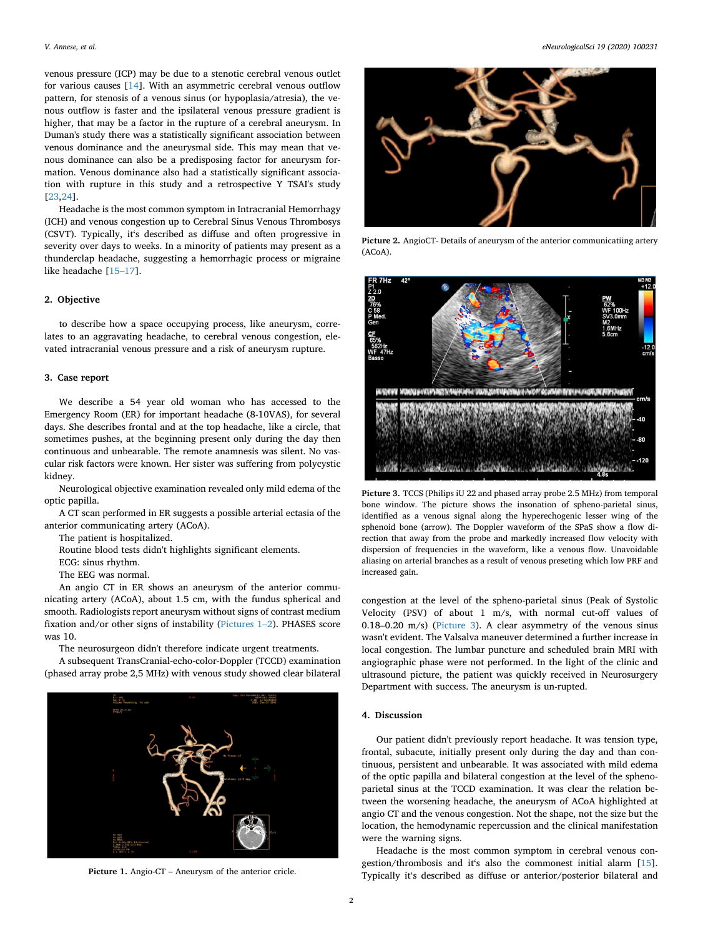venous pressure (ICP) may be due to a stenotic cerebral venous outlet for various causes [[14\]](#page-3-6). With an asymmetric cerebral venous outflow pattern, for stenosis of a venous sinus (or hypoplasia/atresia), the venous outflow is faster and the ipsilateral venous pressure gradient is higher, that may be a factor in the rupture of a cerebral aneurysm. In Duman's study there was a statistically significant association between venous dominance and the aneurysmal side. This may mean that venous dominance can also be a predisposing factor for aneurysm formation. Venous dominance also had a statistically significant association with rupture in this study and a retrospective Y TSAI's study [[23](#page-3-7)[,24](#page-3-8)].

Headache is the most common symptom in Intracranial Hemorrhagy (ICH) and venous congestion up to Cerebral Sinus Venous Thrombosys (CSVT). Typically, it's described as diffuse and often progressive in severity over days to weeks. In a minority of patients may present as a thunderclap headache, suggesting a hemorrhagic process or migraine like headache [[15–17](#page-3-9)].

#### **2. Objective**

to describe how a space occupying process, like aneurysm, correlates to an aggravating headache, to cerebral venous congestion, elevated intracranial venous pressure and a risk of aneurysm rupture.

### **3. Case report**

We describe a 54 year old woman who has accessed to the Emergency Room (ER) for important headache (8-10VAS), for several days. She describes frontal and at the top headache, like a circle, that sometimes pushes, at the beginning present only during the day then continuous and unbearable. The remote anamnesis was silent. No vascular risk factors were known. Her sister was suffering from polycystic kidney.

Neurological objective examination revealed only mild edema of the optic papilla.

A CT scan performed in ER suggests a possible arterial ectasia of the anterior communicating artery (ACoA).

The patient is hospitalized.

Routine blood tests didn't highlights significant elements.

ECG: sinus rhythm.

The EEG was normal.

An angio CT in ER shows an aneurysm of the anterior communicating artery (ACoA), about 1.5 cm, with the fundus spherical and smooth. Radiologists report aneurysm without signs of contrast medium fixation and/or other signs of instability [\(Pictures 1–2\)](#page-1-0). PHASES score was 10.

The neurosurgeon didn't therefore indicate urgent treatments.

A subsequent TransCranial-echo-color-Doppler (TCCD) examination (phased array probe 2,5 MHz) with venous study showed clear bilateral

<span id="page-1-0"></span>



**Picture 2.** AngioCT- Details of aneurysm of the anterior communicatiing artery (ACoA).

<span id="page-1-1"></span>

**Picture 3.** TCCS (Philips iU 22 and phased array probe 2.5 MHz) from temporal bone window. The picture shows the insonation of spheno-parietal sinus, identified as a venous signal along the hyperechogenic lesser wing of the sphenoid bone (arrow). The Doppler waveform of the SPaS show a flow direction that away from the probe and markedly increased flow velocity with dispersion of frequencies in the waveform, like a venous flow. Unavoidable aliasing on arterial branches as a result of venous preseting which low PRF and increased gain.

congestion at the level of the spheno-parietal sinus (Peak of Systolic Velocity (PSV) of about 1 m/s, with normal cut-off values of 0.18–0.20 m/s) ([Picture 3](#page-1-1)). A clear asymmetry of the venous sinus wasn't evident. The Valsalva maneuver determined a further increase in local congestion. The lumbar puncture and scheduled brain MRI with angiographic phase were not performed. In the light of the clinic and ultrasound picture, the patient was quickly received in Neurosurgery Department with success. The aneurysm is un-rupted.

## **4. Discussion**

Our patient didn't previously report headache. It was tension type, frontal, subacute, initially present only during the day and than continuous, persistent and unbearable. It was associated with mild edema of the optic papilla and bilateral congestion at the level of the sphenoparietal sinus at the TCCD examination. It was clear the relation between the worsening headache, the aneurysm of ACoA highlighted at angio CT and the venous congestion. Not the shape, not the size but the location, the hemodynamic repercussion and the clinical manifestation were the warning signs.

Headache is the most common symptom in cerebral venous congestion/thrombosis and it's also the commonest initial alarm [\[15](#page-3-9)]. Picture 1. Angio-CT – Aneurysm of the anterior cricle. Typically it's described as diffuse or anterior/posterior bilateral and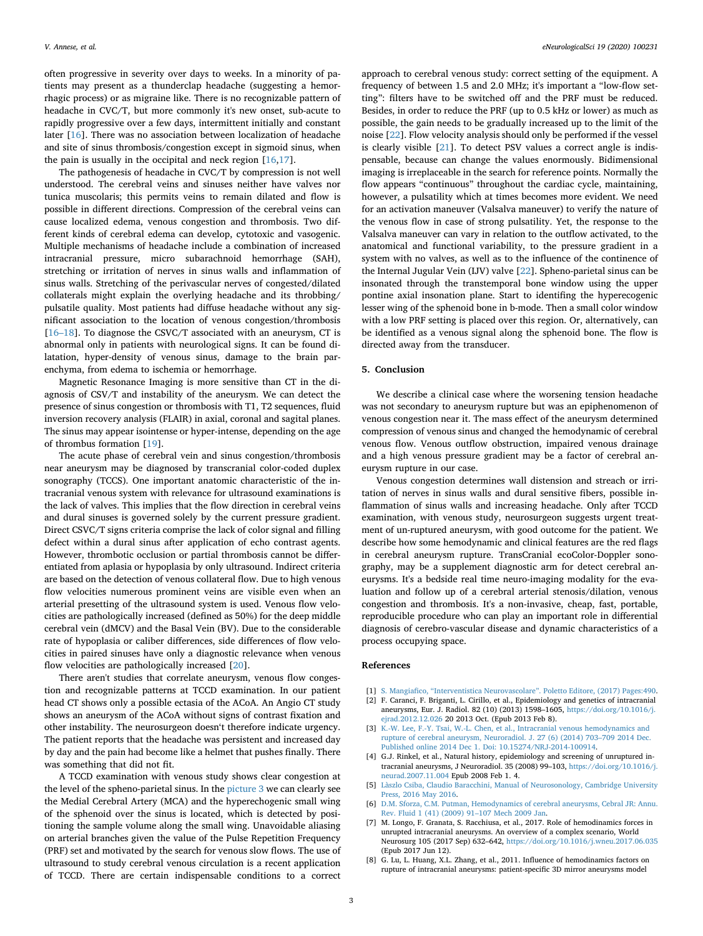often progressive in severity over days to weeks. In a minority of patients may present as a thunderclap headache (suggesting a hemorrhagic process) or as migraine like. There is no recognizable pattern of headache in CVC/T, but more commonly it's new onset, sub-acute to rapidly progressive over a few days, intermittent initially and constant later [[16\]](#page-3-10). There was no association between localization of headache and site of sinus thrombosis/congestion except in sigmoid sinus, when the pain is usually in the occipital and neck region [\[16](#page-3-10)[,17](#page-3-11)].

The pathogenesis of headache in CVC/T by compression is not well understood. The cerebral veins and sinuses neither have valves nor tunica muscolaris; this permits veins to remain dilated and flow is possible in different directions. Compression of the cerebral veins can cause localized edema, venous congestion and thrombosis. Two different kinds of cerebral edema can develop, cytotoxic and vasogenic. Multiple mechanisms of headache include a combination of increased intracranial pressure, micro subarachnoid hemorrhage (SAH), stretching or irritation of nerves in sinus walls and inflammation of sinus walls. Stretching of the perivascular nerves of congested/dilated collaterals might explain the overlying headache and its throbbing/ pulsatile quality. Most patients had diffuse headache without any significant association to the location of venous congestion/thrombosis [[16–18\]](#page-3-10). To diagnose the CSVC/T associated with an aneurysm, CT is abnormal only in patients with neurological signs. It can be found dilatation, hyper-density of venous sinus, damage to the brain parenchyma, from edema to ischemia or hemorrhage.

Magnetic Resonance Imaging is more sensitive than CT in the diagnosis of CSV/T and instability of the aneurysm. We can detect the presence of sinus congestion or thrombosis with T1, T2 sequences, fluid inversion recovery analysis (FLAIR) in axial, coronal and sagital planes. The sinus may appear isointense or hyper-intense, depending on the age of thrombus formation [\[19](#page-3-12)].

The acute phase of cerebral vein and sinus congestion/thrombosis near aneurysm may be diagnosed by transcranial color-coded duplex sonography (TCCS). One important anatomic characteristic of the intracranial venous system with relevance for ultrasound examinations is the lack of valves. This implies that the flow direction in cerebral veins and dural sinuses is governed solely by the current pressure gradient. Direct CSVC/T signs criteria comprise the lack of color signal and filling defect within a dural sinus after application of echo contrast agents. However, thrombotic occlusion or partial thrombosis cannot be differentiated from aplasia or hypoplasia by only ultrasound. Indirect criteria are based on the detection of venous collateral flow. Due to high venous flow velocities numerous prominent veins are visible even when an arterial presetting of the ultrasound system is used. Venous flow velocities are pathologically increased (defined as 50%) for the deep middle cerebral vein (dMCV) and the Basal Vein (BV). Due to the considerable rate of hypoplasia or caliber differences, side differences of flow velocities in paired sinuses have only a diagnostic relevance when venous flow velocities are pathologically increased [[20](#page-3-13)].

There aren't studies that correlate aneurysm, venous flow congestion and recognizable patterns at TCCD examination. In our patient head CT shows only a possible ectasia of the ACoA. An Angio CT study shows an aneurysm of the ACoA without signs of contrast fixation and other instability. The neurosurgeon doesn't therefore indicate urgency. The patient reports that the headache was persistent and increased day by day and the pain had become like a helmet that pushes finally. There was something that did not fit.

A TCCD examination with venous study shows clear congestion at the level of the spheno-parietal sinus. In the [picture 3](#page-1-1) we can clearly see the Medial Cerebral Artery (MCA) and the hyperechogenic small wing of the sphenoid over the sinus is located, which is detected by positioning the sample volume along the small wing. Unavoidable aliasing on arterial branches given the value of the Pulse Repetition Frequency (PRF) set and motivated by the search for venous slow flows. The use of ultrasound to study cerebral venous circulation is a recent application of TCCD. There are certain indispensable conditions to a correct

approach to cerebral venous study: correct setting of the equipment. A frequency of between 1.5 and 2.0 MHz; it's important a "low-flow setting": filters have to be switched off and the PRF must be reduced. Besides, in order to reduce the PRF (up to 0.5 kHz or lower) as much as possible, the gain needs to be gradually increased up to the limit of the noise [\[22](#page-3-0)]. Flow velocity analysis should only be performed if the vessel is clearly visible [[21](#page-3-14)]. To detect PSV values a correct angle is indispensable, because can change the values enormously. Bidimensional imaging is irreplaceable in the search for reference points. Normally the flow appears "continuous" throughout the cardiac cycle, maintaining, however, a pulsatility which at times becomes more evident. We need for an activation maneuver (Valsalva maneuver) to verify the nature of the venous flow in case of strong pulsatility. Yet, the response to the Valsalva maneuver can vary in relation to the outflow activated, to the anatomical and functional variability, to the pressure gradient in a system with no valves, as well as to the influence of the continence of the Internal Jugular Vein (IJV) valve [[22\]](#page-3-0). Spheno-parietal sinus can be insonated through the transtemporal bone window using the upper pontine axial insonation plane. Start to identifing the hyperecogenic lesser wing of the sphenoid bone in b-mode. Then a small color window with a low PRF setting is placed over this region. Or, alternatively, can be identified as a venous signal along the sphenoid bone. The flow is directed away from the transducer.

## **5. Conclusion**

We describe a clinical case where the worsening tension headache was not secondary to aneurysm rupture but was an epiphenomenon of venous congestion near it. The mass effect of the aneurysm determined compression of venous sinus and changed the hemodynamic of cerebral venous flow. Venous outflow obstruction, impaired venous drainage and a high venous pressure gradient may be a factor of cerebral aneurysm rupture in our case.

Venous congestion determines wall distension and streach or irritation of nerves in sinus walls and dural sensitive fibers, possible inflammation of sinus walls and increasing headache. Only after TCCD examination, with venous study, neurosurgeon suggests urgent treatment of un-ruptured aneurysm, with good outcome for the patient. We describe how some hemodynamic and clinical features are the red flags in cerebral aneurysm rupture. TransCranial ecoColor-Doppler sonography, may be a supplement diagnostic arm for detect cerebral aneurysms. It's a bedside real time neuro-imaging modality for the evaluation and follow up of a cerebral arterial stenosis/dilation, venous congestion and thrombosis. It's a non-invasive, cheap, fast, portable, reproducible procedure who can play an important role in differential diagnosis of cerebro-vascular disease and dynamic characteristics of a process occupying space.

#### **References**

- <span id="page-2-0"></span>[1] [S. Mangiafico, "Interventistica Neurovascolare". Poletto Editore, \(2017\) Pages:490.](http://refhub.elsevier.com/S2405-6502(20)30010-1/rf0005)
- <span id="page-2-1"></span>[2] F. Caranci, F. Briganti, L. Cirillo, et al., Epidemiology and genetics of intracranial aneurysms, Eur. J. Radiol. 82 (10) (2013) 1598–1605, [https://doi.org/10.1016/j.](https://doi.org/10.1016/j.ejrad.2012.12.026) ejrad.2012.12.026 [20 2013 Oct. \(Epub 2013 Feb 8\).](https://doi.org/10.1016/j.ejrad.2012.12.026)
- <span id="page-2-5"></span>[3] [K.-W. Lee, F.-Y. Tsai, W.-L. Chen, et al., Intracranial venous hemodynamics and](http://refhub.elsevier.com/S2405-6502(20)30010-1/rf0015) [rupture of cerebral aneurysm, Neuroradiol. J. 27 \(6\) \(2014\) 703–709 2014 Dec.](http://refhub.elsevier.com/S2405-6502(20)30010-1/rf0015) [Published online 2014 Dec 1. Doi: 10.15274/NRJ-2014-100914.](http://refhub.elsevier.com/S2405-6502(20)30010-1/rf0015)
- <span id="page-2-2"></span>[4] G.J. Rinkel, et al., Natural history, epidemiology and screening of unruptured intracranial aneurysms, J Neuroradiol. 35 (2008) 99–103, [https://doi.org/10.1016/j.](https://doi.org/10.1016/j.neurad.2007.11.004) neurad.2007.11.004 [Epub 2008 Feb 1. 4.](https://doi.org/10.1016/j.neurad.2007.11.004)
- <span id="page-2-3"></span>[5] [Làszlo Csiba, Claudio Baracchini, Manual of Neurosonology, Cambridge University](http://refhub.elsevier.com/S2405-6502(20)30010-1/rf0025) [Press, 2016 May 2016.](http://refhub.elsevier.com/S2405-6502(20)30010-1/rf0025)
- <span id="page-2-6"></span>[6] [D.M. Sforza, C.M. Putman, Hemodynamics of cerebral aneurysms, Cebral JR: Annu.](http://refhub.elsevier.com/S2405-6502(20)30010-1/rf0030) [Rev. Fluid 1 \(41\) \(2009\) 91–107 Mech 2009 Jan.](http://refhub.elsevier.com/S2405-6502(20)30010-1/rf0030)
- <span id="page-2-4"></span>[7] M. Longo, F. Granata, S. Racchiusa, et al., 2017. Role of hemodinamics forces in unrupted intracranial aneurysms. An overview of a complex scenario, World Neurosurg 105 (2017 Sep) 632–642, <https://doi.org/10.1016/j.wneu.2017.06.035> [\(Epub 2017 Jun 12\).](https://doi.org/10.1016/j.wneu.2017.06.035)
- <span id="page-2-7"></span>[8] G. Lu, L. Huang, X.L. Zhang, et al., 2011. Influence of hemodinamics factors on rupture of intracranial aneurysms: patient-specific 3D mirror aneurysms model